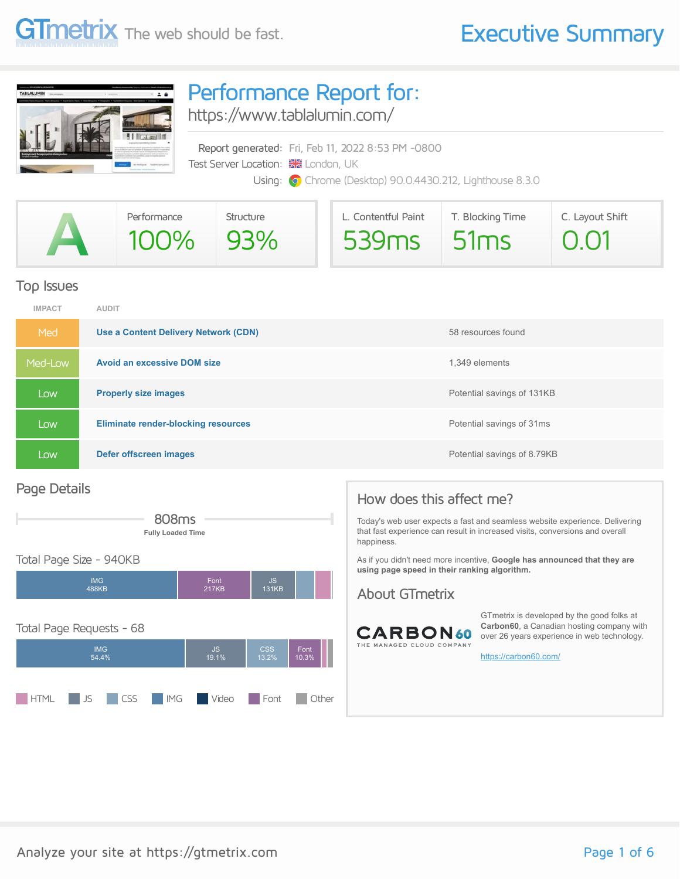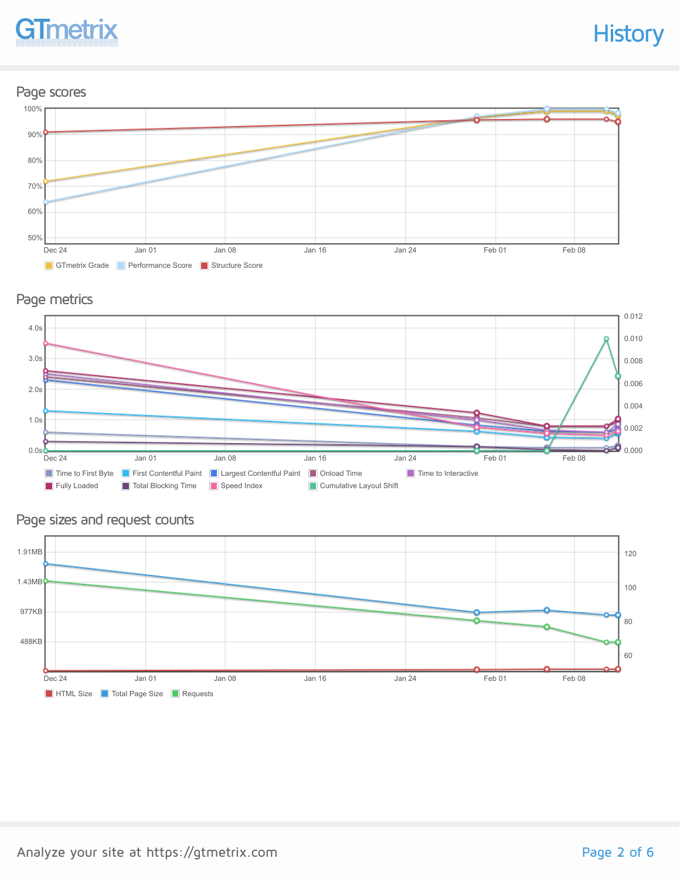## **GTmetrix**

## **History**

### Page scores



### Page metrics



### Page sizes and request counts

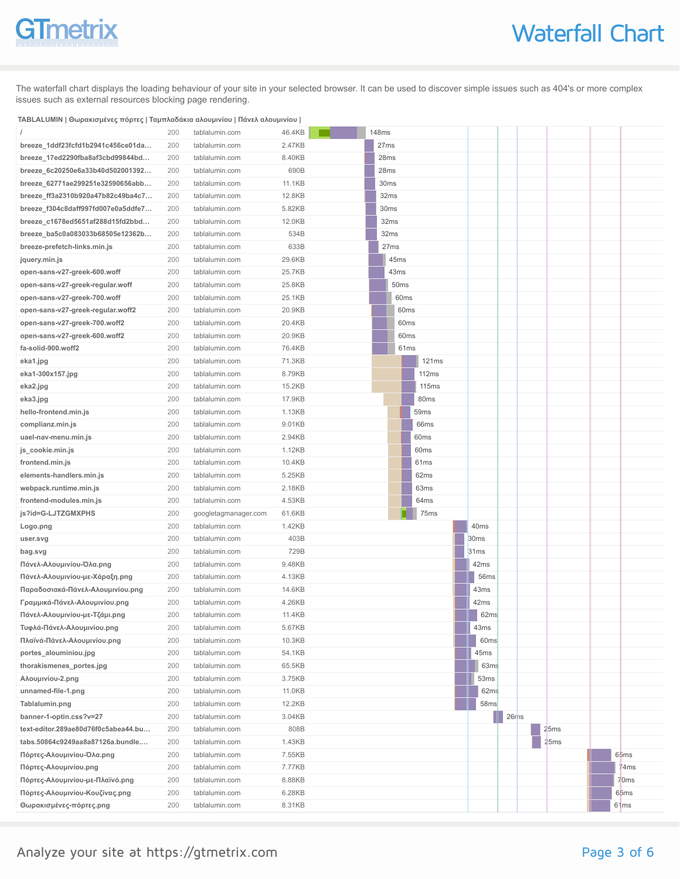## **GTmetrix**

The waterfall chart displays the loading behaviour of your site in your selected browser. It can be used to discover simple issues such as 404's or more complex issues such as external resources blocking page rendering.

### **TABLALUMIN | Θωρακισμένες πόρτες | Ταμπλαδάκια αλουμινίου | Πάνελ αλουμινίου |**

|                                     | 200        | tablalumin.com       | 46.4KB           | <b>148ms</b> |                  |                  |                  |                          |            |      |                  |
|-------------------------------------|------------|----------------------|------------------|--------------|------------------|------------------|------------------|--------------------------|------------|------|------------------|
| breeze_1ddf23fcfd1b2941c456ce01da   | 200        | tablalumin.com       | 2.47KB           |              | 27 <sub>ms</sub> |                  |                  |                          |            |      |                  |
| breeze_17ed2290fba8af3cbd99844bd    | 200        | tablalumin.com       | 8.40KB           |              | 28ms             |                  |                  |                          |            |      |                  |
| breeze_6c20250e6a33b40d502001392    | 200        | tablalumin.com       | 690B             |              | 28ms             |                  |                  |                          |            |      |                  |
| breeze_62771ae299251e32590656abb    | 200        | tablalumin.com       | 11.1KB           |              | 30 <sub>ms</sub> |                  |                  |                          |            |      |                  |
| breeze_ff3a2310b920a47b82c49ba4c7   | 200        | tablalumin.com       | 12.8KB           |              | 32ms             |                  |                  |                          |            |      |                  |
| breeze_f304c8daff997fd007e0a5ddfe7  | 200        | tablalumin.com       | 5.82KB           |              | 30ms             |                  |                  |                          |            |      |                  |
| breeze_c1678ed5651af288d15fd2bbd    | 200        | tablalumin.com       | 12.0KB           |              | 32ms             |                  |                  |                          |            |      |                  |
| breeze_ba5c0a083033b68505e12362b    | 200        | tablalumin.com       | 534B             |              | 32ms             |                  |                  |                          |            |      |                  |
| breeze-prefetch-links.min.js        | 200        | tablalumin.com       | 633B             |              | 27ms             |                  |                  |                          |            |      |                  |
| jquery.min.js                       | 200        | tablalumin.com       | 29.6KB           |              | 45ms             |                  |                  |                          |            |      |                  |
| open-sans-v27-greek-600.woff        | 200        | tablalumin.com       | 25.7KB           |              | 43ms             |                  |                  |                          |            |      |                  |
| open-sans-v27-greek-regular.woff    | 200        | tablalumin.com       | 25.8KB           |              | 50ms             |                  |                  |                          |            |      |                  |
| open-sans-v27-greek-700.woff        | 200        | tablalumin.com       | 25.1KB           |              | 60 <sub>ms</sub> |                  |                  |                          |            |      |                  |
| open-sans-v27-greek-regular.woff2   | 200        | tablalumin.com       | 20.9KB           |              | 60ms             |                  |                  |                          |            |      |                  |
| open-sans-v27-greek-700.woff2       | 200        | tablalumin.com       | 20.4KB           |              | 60 <sub>ms</sub> |                  |                  |                          |            |      |                  |
| open-sans-v27-greek-600.woff2       | 200        | tablalumin.com       | 20.9KB           |              | 60 <sub>ms</sub> |                  |                  |                          |            |      |                  |
| fa-solid-900.woff2                  | 200        | tablalumin.com       | 76.4KB           |              | 61ms             |                  |                  |                          |            |      |                  |
| eka1.jpg                            | 200        | tablalumin.com       | 71.3KB           |              |                  | 121ms            |                  |                          |            |      |                  |
| eka1-300x157.jpg                    | 200        | tablalumin.com       | 8.79KB           |              |                  | 112ms            |                  |                          |            |      |                  |
| eka2.jpg                            | 200        | tablalumin.com       | 15.2KB           |              |                  | 115ms            |                  |                          |            |      |                  |
| eka3.jpg                            | 200        | tablalumin.com       | 17.9KB           |              |                  | 80 <sub>ms</sub> |                  |                          |            |      |                  |
| hello-frontend.min.js               | 200        | tablalumin.com       | 1.13KB           |              |                  | 59ms             |                  |                          |            |      |                  |
| complianz.min.js                    | 200        | tablalumin.com       | 9.01KB           |              |                  | 66ms             |                  |                          |            |      |                  |
| uael-nav-menu.min.js                | 200        | tablalumin.com       | 2.94KB           |              |                  | 60ms             |                  |                          |            |      |                  |
| js_cookie.min.js                    | 200        | tablalumin.com       | 1.12KB           |              |                  | 60ms             |                  |                          |            |      |                  |
| frontend.min.js                     | 200        | tablalumin.com       | 10.4KB           |              |                  | 61ms             |                  |                          |            |      |                  |
| elements-handlers.min.js            | 200        | tablalumin.com       | 5.25KB           |              |                  | 62ms             |                  |                          |            |      |                  |
| webpack.runtime.min.js              | 200        | tablalumin.com       | 2.18KB           |              |                  | 63ms             |                  |                          |            |      |                  |
| frontend-modules.min.js             | 200        | tablalumin.com       | 4.53KB           |              |                  | 64 <sub>ms</sub> |                  |                          |            |      |                  |
| js?id=G-LJTZGMXPHS                  | 200        | googletagmanager.com | 61.6KB           |              |                  | 75ms             |                  |                          |            |      |                  |
| Logo.png                            | 200        | tablalumin.com       | 1.42KB           |              |                  |                  |                  | 40ms                     |            |      |                  |
| user.svg                            | 200        | tablalumin.com       | 403B             |              |                  |                  | 30ms             |                          |            |      |                  |
| bag.svg                             | 200        | tablalumin.com       | 729B             |              |                  |                  | 31 <sub>ms</sub> |                          |            |      |                  |
| Πάνελ-Αλουμινίου-Όλα.png            | 200        | tablalumin.com       | 9.48KB           |              |                  |                  |                  | 42ms                     |            |      |                  |
| Πάνελ-Αλουμινίου-με-Χάραξη.png      | 200        | tablalumin.com       | 4.13KB           |              |                  |                  |                  | 56ms                     |            |      |                  |
| Παραδοσιακά-Πάνελ-Αλουμινίου.png    | 200        | tablalumin.com       | 14.6KB           |              |                  |                  |                  | 43ms                     |            |      |                  |
| Γραμμικά-Πάνελ-Αλουμινίου.png       | 200        | tablalumin.com       | 4.26KB           |              |                  |                  |                  | 42ms                     |            |      |                  |
| Πάνελ-Αλουμινίου-με-Τζάμι.png       | 200        | tablalumin.com       | 11.4KB           |              |                  |                  |                  | 62ms                     |            |      |                  |
| Τυφλά-Πάνελ-Αλουμινίου.png          | 200        | tablalumin.com       | 5.67KB           |              |                  |                  |                  | 43ms                     |            |      |                  |
| Πλαϊνά-Πάνελ-Αλουμινίου.png         | 200        | tablalumin.com       | 10.3KB           |              |                  |                  |                  | 60ms                     |            |      |                  |
| portes_alouminiou.jpg               | 200        | tablalumin.com       | 54.1KB           |              |                  |                  |                  | 45ms                     |            |      |                  |
| thorakismenes_portes.jpg            | 200<br>200 | tablalumin.com       | 65.5KB<br>3.75KB |              |                  |                  |                  | 63ms<br>53 <sub>ms</sub> |            |      |                  |
| Aλουμινίου-2.png                    |            | tablalumin.com       |                  |              |                  |                  |                  |                          |            |      |                  |
| unnamed-file-1.png                  | 200        | tablalumin.com       | 11.0KB           |              |                  |                  |                  | 62ms                     |            |      |                  |
| Tablalumin.png                      | 200        | tablalumin.com       | 12.2KB           |              |                  |                  |                  | 58ms                     |            |      |                  |
| banner-1-optin.css?v=27             | 200        | tablalumin.com       | 3.04KB           |              |                  |                  |                  |                          | Ш<br>26rns |      |                  |
| text-editor.289ae80d76f0c5abea44.bu | 200        | tablalumin.com       | 808B             |              |                  |                  |                  |                          |            | 25ms |                  |
| tabs.50864c9249aa8a87126a.bundle    | 200        | tablalumin.com       | 1.43KB           |              |                  |                  |                  |                          |            | 25ms |                  |
| Πόρτες-Αλουμινίου-Όλα.png           | 200        | tablalumin.com       | 7.55KB           |              |                  |                  |                  |                          |            |      | 65ms             |
| Πόρτες-Αλουμινίου.png               | 200        | tablalumin.com       | 7.77KB           |              |                  |                  |                  |                          |            |      | 74ms             |
| Πόρτες-Αλουμινίου-με-Πλαϊνό.png     | 200        | tablalumin.com       | 8.88KB           |              |                  |                  |                  |                          |            |      | 70ms             |
| Πόρτες-Αλουμινίου-Κουζίνας.png      | 200        | tablalumin.com       | 6.28KB           |              |                  |                  |                  |                          |            |      | 65 <sub>ms</sub> |
| Θωρακισμένες-πόρτες.png             | 200        | tablalumin.com       | 8.31KB           |              |                  |                  |                  |                          |            |      | 61ms             |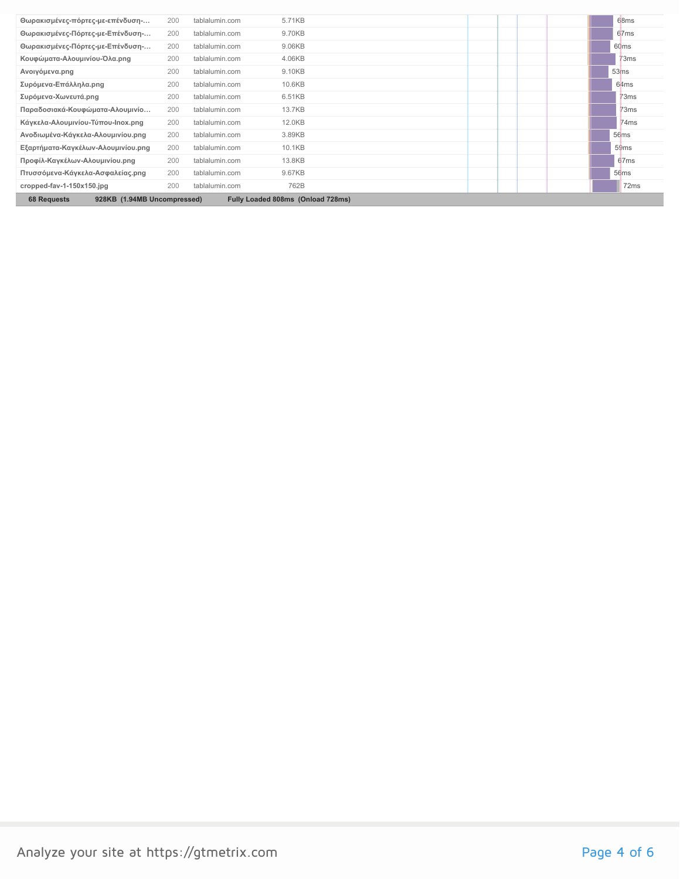| Θωρακισμένες-πόρτες-με-επένδυση-                                                       | 200 | tablalumin.com | 5.71KB |  |  |  | 68ms             |
|----------------------------------------------------------------------------------------|-----|----------------|--------|--|--|--|------------------|
| Θωρακισμένες-Πόρτες-με-Επένδυση-                                                       | 200 | tablalumin.com | 9.70KB |  |  |  | 67ms             |
| Θωρακισμένες-Πόρτες-με-Επένδυση-                                                       | 200 | tablalumin.com | 9.06KB |  |  |  | 60ms             |
| Κουφώματα-Αλουμινίου-Όλα.png                                                           | 200 | tablalumin.com | 4.06KB |  |  |  | 73 <sub>ms</sub> |
| Ανοιγόμενα.png                                                                         | 200 | tablalumin.com | 9.10KB |  |  |  | 53 <sub>ms</sub> |
| Συρόμενα-Επάλληλα.png                                                                  | 200 | tablalumin.com | 10.6KB |  |  |  | 64 <sub>ms</sub> |
| Συρόμενα-Χωνευτά.png                                                                   | 200 | tablalumin.com | 6.51KB |  |  |  | 73ms             |
| Παραδοσιακά-Κουφώματα-Αλουμινίο                                                        | 200 | tablalumin.com | 13.7KB |  |  |  | 73ms             |
| Κάγκελα-Αλουμινίου-Τύπου-Inox.png                                                      | 200 | tablalumin.com | 12.0KB |  |  |  | 74ms             |
| Ανοδιωμένα-Κάγκελα-Αλουμινίου.png                                                      | 200 | tablalumin.com | 3.89KB |  |  |  | 56 <sub>ms</sub> |
| Εξαρτήματα-Καγκέλων-Αλουμινίου.png                                                     | 200 | tablalumin.com | 10.1KB |  |  |  | 59ms             |
| Προφίλ-Καγκέλων-Αλουμινίου.png                                                         | 200 | tablalumin.com | 13.8KB |  |  |  | 67ms             |
| Πτυσσόμενα-Κάγκελα-Ασφαλείας.png                                                       | 200 | tablalumin.com | 9.67KB |  |  |  | 56ms             |
| cropped-fav-1-150x150.jpg                                                              | 200 | tablalumin.com | 762B   |  |  |  | 72 <sub>ms</sub> |
| <b>68 Requests</b><br>928KB (1.94MB Uncompressed)<br>Fully Loaded 808ms (Onload 728ms) |     |                |        |  |  |  |                  |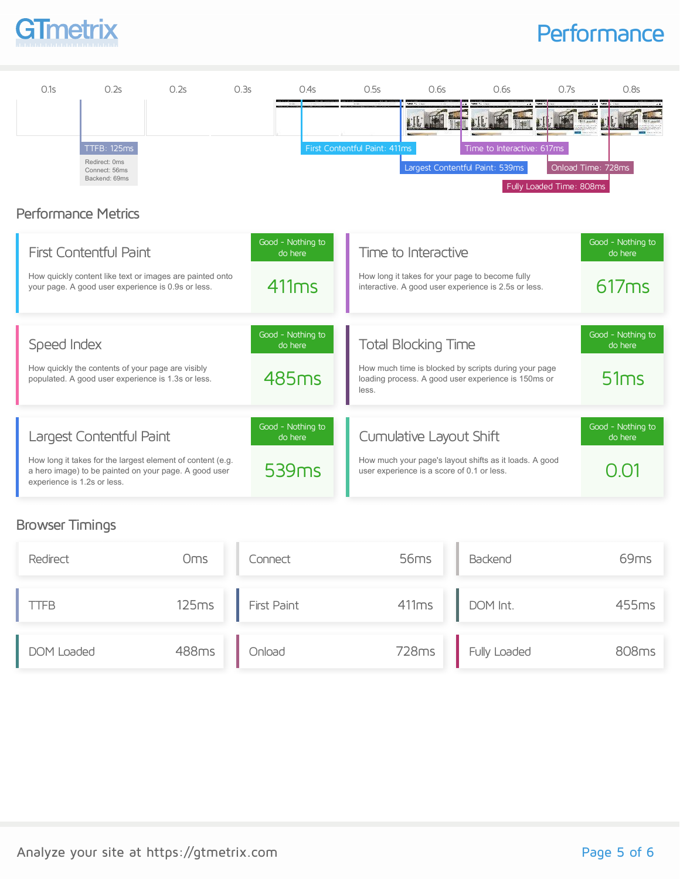

## **Performance**



### Performance Metrics

| <b>First Contentful Paint</b>                                                                                                                      | Good - Nothing to<br>do here | Time to Interactive                                                                                                  | Good - Nothing to<br>do here |
|----------------------------------------------------------------------------------------------------------------------------------------------------|------------------------------|----------------------------------------------------------------------------------------------------------------------|------------------------------|
| How quickly content like text or images are painted onto<br>your page. A good user experience is 0.9s or less.                                     | 411ms                        | How long it takes for your page to become fully<br>interactive. A good user experience is 2.5s or less.              | 617ms                        |
| Speed Index                                                                                                                                        | Good - Nothing to<br>do here | <b>Total Blocking Time</b>                                                                                           | Good - Nothing to<br>do here |
| How quickly the contents of your page are visibly<br>populated. A good user experience is 1.3s or less.                                            | 485 <sub>ms</sub>            | How much time is blocked by scripts during your page<br>loading process. A good user experience is 150ms or<br>less. | 51ms                         |
| Largest Contentful Paint                                                                                                                           | Good - Nothing to<br>do here | Cumulative Layout Shift                                                                                              | Good - Nothing to<br>do here |
| How long it takes for the largest element of content (e.g.<br>a hero image) to be painted on your page. A good user<br>experience is 1.2s or less. | 539 <sub>ms</sub>            | How much your page's layout shifts as it loads. A good<br>user experience is a score of 0.1 or less.                 | $\cup$                       |

### Browser Timings

| Redirect   | Oms   | Connect            | 56 <sub>ms</sub> | Backend      | 69 <sub>ms</sub> |
|------------|-------|--------------------|------------------|--------------|------------------|
| TFB        | 125ms | <b>First Paint</b> | 411ms            | DOM Int.     | 455ms            |
| DOM Loaded | 488ms | Onload             | 728ms            | Fully Loaded | 808ms            |